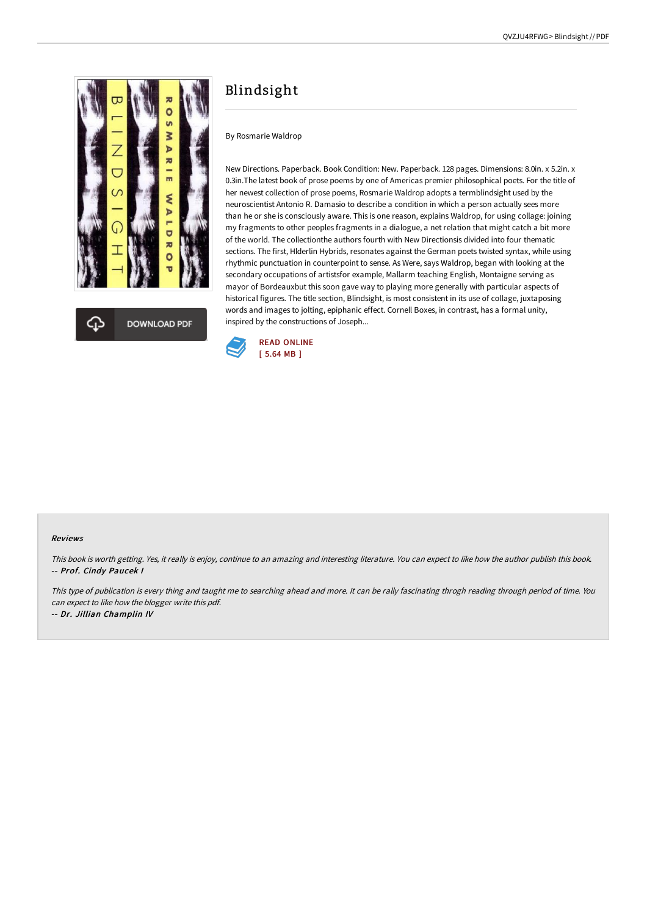

## Blindsight

By Rosmarie Waldrop

New Directions. Paperback. Book Condition: New. Paperback. 128 pages. Dimensions: 8.0in. x 5.2in. x 0.3in.The latest book of prose poems by one of Americas premier philosophical poets. For the title of her newest collection of prose poems, Rosmarie Waldrop adopts a termblindsight used by the neuroscientist Antonio R. Damasio to describe a condition in which a person actually sees more than he or she is consciously aware. This is one reason, explains Waldrop, for using collage: joining my fragments to other peoples fragments in a dialogue, a net relation that might catch a bit more of the world. The collectionthe authors fourth with New Directionsis divided into four thematic sections. The first, Hlderlin Hybrids, resonates against the German poets twisted syntax, while using rhythmic punctuation in counterpoint to sense. As Were, says Waldrop, began with looking at the secondary occupations of artistsfor example, Mallarm teaching English, Montaigne serving as mayor of Bordeauxbut this soon gave way to playing more generally with particular aspects of historical figures. The title section, Blindsight, is most consistent in its use of collage, juxtaposing words and images to jolting, epiphanic effect. Cornell Boxes, in contrast, has a formal unity, inspired by the constructions of Joseph...



## Reviews

This book is worth getting. Yes, it really is enjoy, continue to an amazing and interesting literature. You can expect to like how the author publish this book. -- Prof. Cindy Paucek I

This type of publication is every thing and taught me to searching ahead and more. It can be rally fascinating throgh reading through period of time. You can expect to like how the blogger write this pdf. -- Dr. Jillian Champlin IV